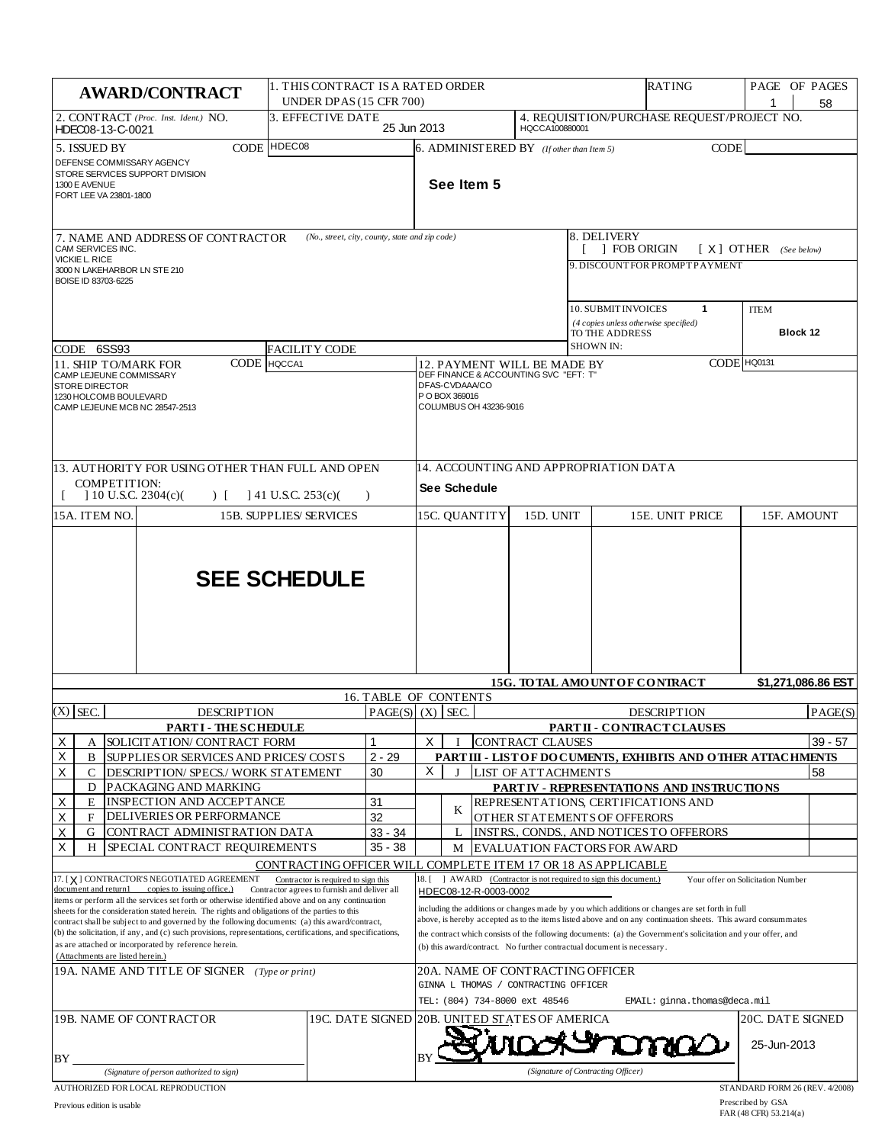| 58<br>4. REQUISITION/PURCHASE REQUEST/PROJECT NO.<br>2. CONTRACT (Proc. Inst. Ident.) NO.<br>3. EFFECTIVE DATE<br>25 Jun 2013<br>HQCCA100880001<br>HDEC08-13-C-0021<br>CODE HDEC08<br><b>CODE</b><br>5. ISSUED BY<br>6. ADMINIST ERED BY ( <i>If other than Item 5</i> )<br>DEFENSE COMMISSARY AGENCY<br>STORE SERVICES SUPPORT DIVISION<br>See Item 5<br>1300 E AVENUE<br>FORT LEE VA 23801-1800<br>8. DELIVERY<br>(No., street, city, county, state and zip code)<br>7. NAME AND ADDRESS OF CONTRACTOR<br>CAM SERVICES INC.<br><b>FOB ORIGIN</b><br>$[X]$ OTHER (See below)<br>VICKIE L. RICE<br>9. DISCOUNTFOR PROMPTPAYMENT<br>3000 N LAKEHARBOR LN STE 210<br>BOISE ID 83703-6225<br>10. SUBMIT INVOICES<br>1<br><b>ITEM</b><br>(4 copies unless otherwise specified)<br>Block 12<br>TO THE ADDRESS<br><b>SHOWN IN:</b><br>CODE 6SS93<br><b>FACILITY CODE</b><br>CODE HQ0131<br>CODE HQCCA1<br><b>11. SHIP TO/MARK FOR</b><br>12. PAYMENT WILL BE MADE BY<br>DEF FINANCE & ACCOUNTING SVC "EFT: T"<br>CAMP LEJEUNE COMMISSARY<br>DFAS-CVDAAA/CO<br><b>STORE DIRECTOR</b><br>P O BOX 369016<br>1230 HOLCOMB BOULEVARD<br>COLUMBUS OH 43236-9016<br>CAMP LEJEUNE MCB NC 28547-2513<br>14. ACCOUNTING AND APPROPRIATION DATA<br>13. AUTHORITY FOR USING OTHER THAN FULL AND OPEN<br>COMPETITION:<br><b>See Schedule</b><br>$\mid$ 10 U.S.C. 2304(c)(<br>$\vert$ 41 U.S.C. 253(c)(<br>$\Gamma$<br>$\lambda$<br>15A. ITEM NO.<br><b>15B. SUPPLIES/SERVICES</b><br>15C. QUANTITY<br>15D. UNIT<br>15E. UNIT PRICE<br>15F. AMOUNT<br><b>SEE SCHEDULE</b><br>\$1,271,086.86 EST<br><b>15G. TO TAL AMOUNT OF CONTRACT</b><br>16. TABLE OF CONTENTS<br>$(X)$ SEC.<br>PAGE(S)   (X)   SEC.<br><b>DESCRIPTION</b><br><b>DESCRIPTION</b><br><b>PARTI-THESCHEDULE</b><br>PARTII - CONTRACT CLAUSES<br>X<br>X<br>SOLICIT AT ION/ CONTRACT FORM<br><b>CONTRACT CLAUSES</b><br>$\overline{\mathsf{x}}$<br>$2 - 29$<br>PART III - LIST OF DOCUMENTS, EXHIBITS AND OTHER ATTACHMENTS<br>B<br>SUPPLIES OR SERVICES AND PRICES/ COSTS<br>X<br>X<br>30<br><b>LIST OF ATTACHMENTS</b><br>58<br>C<br>DESCRIPTION/ SPECS./ WORK STATEMENT<br>J<br>D<br>PACKAGING AND MARKING<br>PART IV - REPRESENTATIONS AND INSTRUCTIONS<br>$\mathsf X$<br>INSPECTION AND ACCEPTANCE<br>E<br>31<br>REPRESENT ATIONS, CERTIFICATIONS AND<br>K |           |  |  |  |  |  |
|-----------------------------------------------------------------------------------------------------------------------------------------------------------------------------------------------------------------------------------------------------------------------------------------------------------------------------------------------------------------------------------------------------------------------------------------------------------------------------------------------------------------------------------------------------------------------------------------------------------------------------------------------------------------------------------------------------------------------------------------------------------------------------------------------------------------------------------------------------------------------------------------------------------------------------------------------------------------------------------------------------------------------------------------------------------------------------------------------------------------------------------------------------------------------------------------------------------------------------------------------------------------------------------------------------------------------------------------------------------------------------------------------------------------------------------------------------------------------------------------------------------------------------------------------------------------------------------------------------------------------------------------------------------------------------------------------------------------------------------------------------------------------------------------------------------------------------------------------------------------------------------------------------------------------------------------------------------------------------------------------------------------------------------------------------------------------------------------------------------------------------------------------------------------------------------------------------------------------------------------------------------------------------------------------------------|-----------|--|--|--|--|--|
|                                                                                                                                                                                                                                                                                                                                                                                                                                                                                                                                                                                                                                                                                                                                                                                                                                                                                                                                                                                                                                                                                                                                                                                                                                                                                                                                                                                                                                                                                                                                                                                                                                                                                                                                                                                                                                                                                                                                                                                                                                                                                                                                                                                                                                                                                                           |           |  |  |  |  |  |
|                                                                                                                                                                                                                                                                                                                                                                                                                                                                                                                                                                                                                                                                                                                                                                                                                                                                                                                                                                                                                                                                                                                                                                                                                                                                                                                                                                                                                                                                                                                                                                                                                                                                                                                                                                                                                                                                                                                                                                                                                                                                                                                                                                                                                                                                                                           |           |  |  |  |  |  |
|                                                                                                                                                                                                                                                                                                                                                                                                                                                                                                                                                                                                                                                                                                                                                                                                                                                                                                                                                                                                                                                                                                                                                                                                                                                                                                                                                                                                                                                                                                                                                                                                                                                                                                                                                                                                                                                                                                                                                                                                                                                                                                                                                                                                                                                                                                           |           |  |  |  |  |  |
|                                                                                                                                                                                                                                                                                                                                                                                                                                                                                                                                                                                                                                                                                                                                                                                                                                                                                                                                                                                                                                                                                                                                                                                                                                                                                                                                                                                                                                                                                                                                                                                                                                                                                                                                                                                                                                                                                                                                                                                                                                                                                                                                                                                                                                                                                                           |           |  |  |  |  |  |
|                                                                                                                                                                                                                                                                                                                                                                                                                                                                                                                                                                                                                                                                                                                                                                                                                                                                                                                                                                                                                                                                                                                                                                                                                                                                                                                                                                                                                                                                                                                                                                                                                                                                                                                                                                                                                                                                                                                                                                                                                                                                                                                                                                                                                                                                                                           |           |  |  |  |  |  |
|                                                                                                                                                                                                                                                                                                                                                                                                                                                                                                                                                                                                                                                                                                                                                                                                                                                                                                                                                                                                                                                                                                                                                                                                                                                                                                                                                                                                                                                                                                                                                                                                                                                                                                                                                                                                                                                                                                                                                                                                                                                                                                                                                                                                                                                                                                           |           |  |  |  |  |  |
|                                                                                                                                                                                                                                                                                                                                                                                                                                                                                                                                                                                                                                                                                                                                                                                                                                                                                                                                                                                                                                                                                                                                                                                                                                                                                                                                                                                                                                                                                                                                                                                                                                                                                                                                                                                                                                                                                                                                                                                                                                                                                                                                                                                                                                                                                                           |           |  |  |  |  |  |
|                                                                                                                                                                                                                                                                                                                                                                                                                                                                                                                                                                                                                                                                                                                                                                                                                                                                                                                                                                                                                                                                                                                                                                                                                                                                                                                                                                                                                                                                                                                                                                                                                                                                                                                                                                                                                                                                                                                                                                                                                                                                                                                                                                                                                                                                                                           |           |  |  |  |  |  |
|                                                                                                                                                                                                                                                                                                                                                                                                                                                                                                                                                                                                                                                                                                                                                                                                                                                                                                                                                                                                                                                                                                                                                                                                                                                                                                                                                                                                                                                                                                                                                                                                                                                                                                                                                                                                                                                                                                                                                                                                                                                                                                                                                                                                                                                                                                           |           |  |  |  |  |  |
|                                                                                                                                                                                                                                                                                                                                                                                                                                                                                                                                                                                                                                                                                                                                                                                                                                                                                                                                                                                                                                                                                                                                                                                                                                                                                                                                                                                                                                                                                                                                                                                                                                                                                                                                                                                                                                                                                                                                                                                                                                                                                                                                                                                                                                                                                                           |           |  |  |  |  |  |
|                                                                                                                                                                                                                                                                                                                                                                                                                                                                                                                                                                                                                                                                                                                                                                                                                                                                                                                                                                                                                                                                                                                                                                                                                                                                                                                                                                                                                                                                                                                                                                                                                                                                                                                                                                                                                                                                                                                                                                                                                                                                                                                                                                                                                                                                                                           |           |  |  |  |  |  |
|                                                                                                                                                                                                                                                                                                                                                                                                                                                                                                                                                                                                                                                                                                                                                                                                                                                                                                                                                                                                                                                                                                                                                                                                                                                                                                                                                                                                                                                                                                                                                                                                                                                                                                                                                                                                                                                                                                                                                                                                                                                                                                                                                                                                                                                                                                           | PAGE(S)   |  |  |  |  |  |
|                                                                                                                                                                                                                                                                                                                                                                                                                                                                                                                                                                                                                                                                                                                                                                                                                                                                                                                                                                                                                                                                                                                                                                                                                                                                                                                                                                                                                                                                                                                                                                                                                                                                                                                                                                                                                                                                                                                                                                                                                                                                                                                                                                                                                                                                                                           | $39 - 57$ |  |  |  |  |  |
|                                                                                                                                                                                                                                                                                                                                                                                                                                                                                                                                                                                                                                                                                                                                                                                                                                                                                                                                                                                                                                                                                                                                                                                                                                                                                                                                                                                                                                                                                                                                                                                                                                                                                                                                                                                                                                                                                                                                                                                                                                                                                                                                                                                                                                                                                                           |           |  |  |  |  |  |
|                                                                                                                                                                                                                                                                                                                                                                                                                                                                                                                                                                                                                                                                                                                                                                                                                                                                                                                                                                                                                                                                                                                                                                                                                                                                                                                                                                                                                                                                                                                                                                                                                                                                                                                                                                                                                                                                                                                                                                                                                                                                                                                                                                                                                                                                                                           |           |  |  |  |  |  |
|                                                                                                                                                                                                                                                                                                                                                                                                                                                                                                                                                                                                                                                                                                                                                                                                                                                                                                                                                                                                                                                                                                                                                                                                                                                                                                                                                                                                                                                                                                                                                                                                                                                                                                                                                                                                                                                                                                                                                                                                                                                                                                                                                                                                                                                                                                           |           |  |  |  |  |  |
| X<br>DELIVERIES OR PERFORMANCE<br>32<br>$\mathbf{F}$<br>OTHER STATEMENTS OF OFFERORS                                                                                                                                                                                                                                                                                                                                                                                                                                                                                                                                                                                                                                                                                                                                                                                                                                                                                                                                                                                                                                                                                                                                                                                                                                                                                                                                                                                                                                                                                                                                                                                                                                                                                                                                                                                                                                                                                                                                                                                                                                                                                                                                                                                                                      |           |  |  |  |  |  |
| X<br>$33 - 34$<br>INSTRS., CONDS., AND NOTICES TO OFFERORS<br>G<br>CONTRACT ADMINISTRATION DATA<br>L<br>X<br>SPECIAL CONTRACT REQUIREMENTS<br>$35 - 38$<br>H<br><b>EVALUATION FACTORS FOR AWARD</b><br>M                                                                                                                                                                                                                                                                                                                                                                                                                                                                                                                                                                                                                                                                                                                                                                                                                                                                                                                                                                                                                                                                                                                                                                                                                                                                                                                                                                                                                                                                                                                                                                                                                                                                                                                                                                                                                                                                                                                                                                                                                                                                                                  |           |  |  |  |  |  |
| CONTRACTING OFFICER WILL COMPLETE ITEM 17 OR 18 AS APPLICABLE                                                                                                                                                                                                                                                                                                                                                                                                                                                                                                                                                                                                                                                                                                                                                                                                                                                                                                                                                                                                                                                                                                                                                                                                                                                                                                                                                                                                                                                                                                                                                                                                                                                                                                                                                                                                                                                                                                                                                                                                                                                                                                                                                                                                                                             |           |  |  |  |  |  |
| 17. [X] CONTRACTOR'S NEGOTIATED AGREEMENT<br>18. [ ] AWARD (Contractor is not required to sign this document.)<br>Contractor is required to sign this<br>Your offer on Solicitation Number<br>document and return1<br>copies to issuing office.)<br>Contractor agrees to furnish and deliver all<br>HDEC08-12-R-0003-0002                                                                                                                                                                                                                                                                                                                                                                                                                                                                                                                                                                                                                                                                                                                                                                                                                                                                                                                                                                                                                                                                                                                                                                                                                                                                                                                                                                                                                                                                                                                                                                                                                                                                                                                                                                                                                                                                                                                                                                                 |           |  |  |  |  |  |
| items or perform all the services set forth or otherwise identified above and on any continuation<br>including the additions or changes made by you which additions or changes are set forth in full<br>sheets for the consideration stated herein. The rights and obligations of the parties to this<br>above, is hereby accepted as to the items listed above and on any continuation sheets. This award consummates<br>contract shall be subject to and governed by the following documents: (a) this award/contract,<br>(b) the solicitation, if any, and (c) such provisions, representations, certifications, and specifications,<br>the contract which consists of the following documents: (a) the Government's solicitation and your offer, and<br>as are attached or incorporated by reference herein.<br>(b) this award/contract. No further contractual document is necessary.<br>(Attachments are listed herein.)                                                                                                                                                                                                                                                                                                                                                                                                                                                                                                                                                                                                                                                                                                                                                                                                                                                                                                                                                                                                                                                                                                                                                                                                                                                                                                                                                                            |           |  |  |  |  |  |
| 19A. NAME AND TITLE OF SIGNER (Type or print)<br>20A. NAME OF CONTRACTING OFFICER                                                                                                                                                                                                                                                                                                                                                                                                                                                                                                                                                                                                                                                                                                                                                                                                                                                                                                                                                                                                                                                                                                                                                                                                                                                                                                                                                                                                                                                                                                                                                                                                                                                                                                                                                                                                                                                                                                                                                                                                                                                                                                                                                                                                                         |           |  |  |  |  |  |
| GINNA L THOMAS / CONTRACTING OFFICER<br>TEL: (804) 734-8000 ext 48546<br>EMAIL: ginna.thomas@deca.mil                                                                                                                                                                                                                                                                                                                                                                                                                                                                                                                                                                                                                                                                                                                                                                                                                                                                                                                                                                                                                                                                                                                                                                                                                                                                                                                                                                                                                                                                                                                                                                                                                                                                                                                                                                                                                                                                                                                                                                                                                                                                                                                                                                                                     |           |  |  |  |  |  |
| 19B. NAME OF CONTRACTOR<br>19C. DATE SIGNED 20B. UNITED STATES OF AMERICA<br>20C. DATE SIGNED                                                                                                                                                                                                                                                                                                                                                                                                                                                                                                                                                                                                                                                                                                                                                                                                                                                                                                                                                                                                                                                                                                                                                                                                                                                                                                                                                                                                                                                                                                                                                                                                                                                                                                                                                                                                                                                                                                                                                                                                                                                                                                                                                                                                             |           |  |  |  |  |  |
| 25-Jun-2013<br>BY                                                                                                                                                                                                                                                                                                                                                                                                                                                                                                                                                                                                                                                                                                                                                                                                                                                                                                                                                                                                                                                                                                                                                                                                                                                                                                                                                                                                                                                                                                                                                                                                                                                                                                                                                                                                                                                                                                                                                                                                                                                                                                                                                                                                                                                                                         |           |  |  |  |  |  |
| (Signature of Contracting Officer)<br>(Signature of person authorized to sign)<br>AUTHORIZED FOR LOCAL REPRODUCTION<br>STANDARD FORM 26 (REV. 4/2008)                                                                                                                                                                                                                                                                                                                                                                                                                                                                                                                                                                                                                                                                                                                                                                                                                                                                                                                                                                                                                                                                                                                                                                                                                                                                                                                                                                                                                                                                                                                                                                                                                                                                                                                                                                                                                                                                                                                                                                                                                                                                                                                                                     |           |  |  |  |  |  |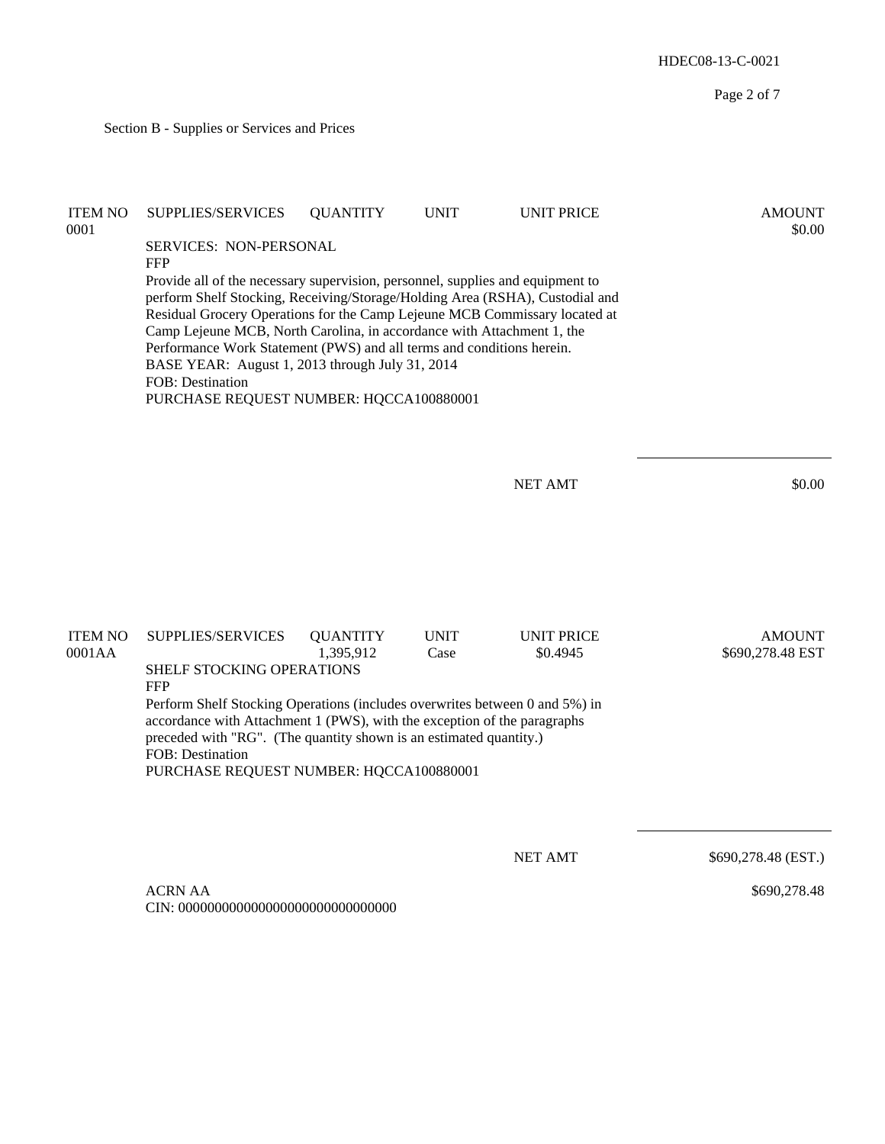Page 2 of 7 Section B - Supplies or Services and Prices ITEM NO SUPPLIES/SERVICES QUANTITY UNIT UNIT PRICE AMOUNT  $0.0001$  \$0.00 SERVICES: NON-PERSONAL FFP Provide all of the necessary supervision, personnel, supplies and equipment to perform Shelf Stocking, Receiving/Storage/Holding Area (RSHA), Custodial and Residual Grocery Operations for the Camp Lejeune MCB Commissary located at Camp Lejeune MCB, North Carolina, in accordance with Attachment 1, the Performance Work Statement (PWS) and all terms and conditions herein. BASE YEAR: August 1, 2013 through July 31, 2014 FOB: Destination PURCHASE REQUEST NUMBER: HQCCA100880001 NET AMT \$0.00 ITEM NO SUPPLIES/SERVICES QUANTITY UNIT UNIT PRICE AMOUNT 0001AA 1,395,912 Case \$0.4945 \$690,278.48 EST SHELF STOCKING OPERATIONS FFP Perform Shelf Stocking Operations (includes overwrites between 0 and 5%) in accordance with Attachment 1 (PWS), with the exception of the paragraphs preceded with "RG". (The quantity shown is an estimated quantity.) FOB: Destination

PURCHASE REQUEST NUMBER: HQCCA100880001

NET AMT \$690,278.48 (EST.)

HDEC08-13-C-0021

ACRN AA CIN: 000000000000000000000000000000

\$690,278.48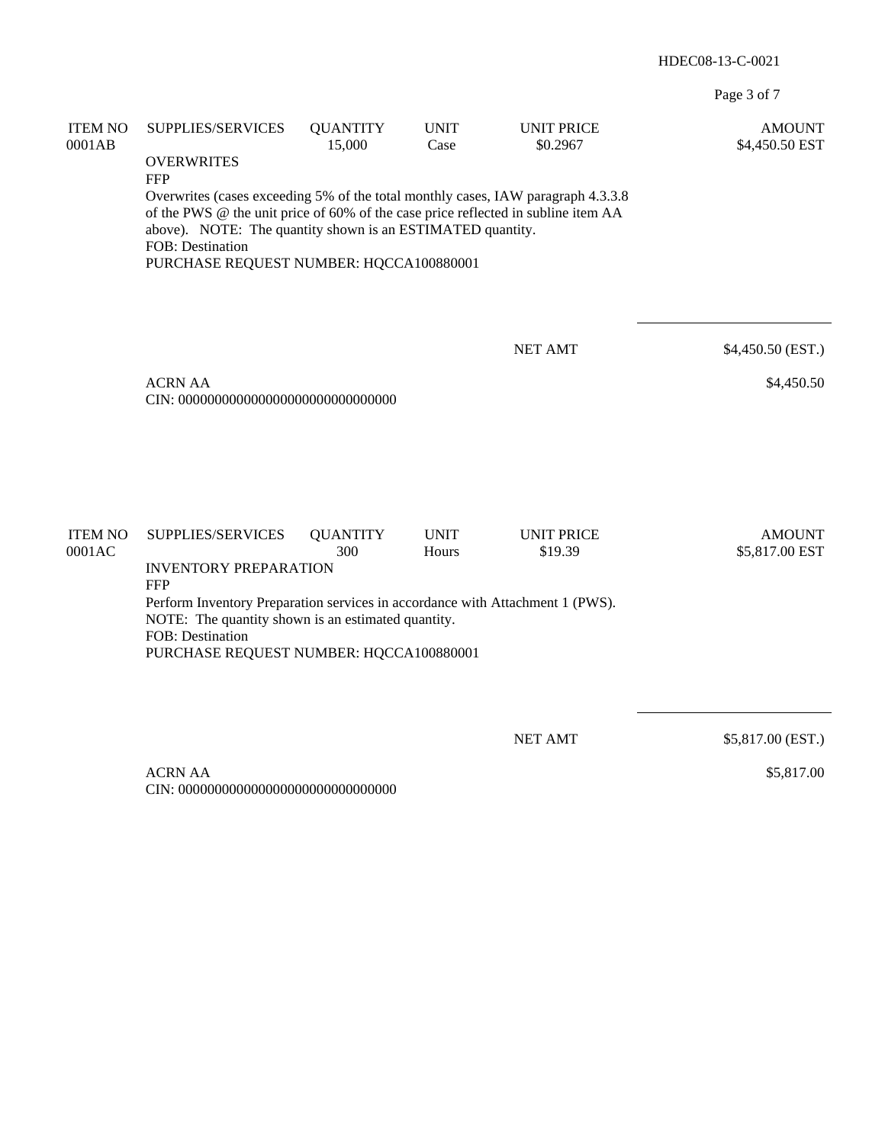Page 3 of 7

| <b>ITEM NO</b><br>0001AB | SUPPLIES/SERVICES<br><b>OVERWRITES</b>                                                                                                                                                                                                                                                                           | <b>QUANTITY</b><br>15,000 | <b>UNIT</b><br>Case  | <b>UNIT PRICE</b><br>\$0.2967 | <b>AMOUNT</b><br>\$4,450.50 EST |  |  |
|--------------------------|------------------------------------------------------------------------------------------------------------------------------------------------------------------------------------------------------------------------------------------------------------------------------------------------------------------|---------------------------|----------------------|-------------------------------|---------------------------------|--|--|
|                          | <b>FFP</b><br>Overwrites (cases exceeding 5% of the total monthly cases, IAW paragraph 4.3.3.8<br>of the PWS @ the unit price of 60% of the case price reflected in subline item AA<br>above). NOTE: The quantity shown is an ESTIMATED quantity.<br>FOB: Destination<br>PURCHASE REQUEST NUMBER: HQCCA100880001 |                           |                      |                               |                                 |  |  |
|                          |                                                                                                                                                                                                                                                                                                                  |                           |                      | <b>NET AMT</b>                | \$4,450.50 (EST.)               |  |  |
|                          | <b>ACRN AA</b><br>\$4,450.50                                                                                                                                                                                                                                                                                     |                           |                      |                               |                                 |  |  |
|                          |                                                                                                                                                                                                                                                                                                                  |                           |                      |                               |                                 |  |  |
| <b>ITEM NO</b><br>0001AC | SUPPLIES/SERVICES                                                                                                                                                                                                                                                                                                | <b>QUANTITY</b><br>300    | <b>UNIT</b><br>Hours | <b>UNIT PRICE</b><br>\$19.39  | <b>AMOUNT</b><br>\$5,817.00 EST |  |  |
|                          | <b>INVENTORY PREPARATION</b><br><b>FFP</b><br>Perform Inventory Preparation services in accordance with Attachment 1 (PWS).<br>NOTE: The quantity shown is an estimated quantity.<br>FOB: Destination<br>PURCHASE REQUEST NUMBER: HQCCA100880001                                                                 |                           |                      |                               |                                 |  |  |
|                          |                                                                                                                                                                                                                                                                                                                  |                           |                      |                               |                                 |  |  |
|                          |                                                                                                                                                                                                                                                                                                                  |                           |                      | <b>NET AMT</b>                | \$5,817.00 (EST.)               |  |  |
|                          | <b>ACRN AA</b>                                                                                                                                                                                                                                                                                                   |                           |                      |                               | \$5,817.00                      |  |  |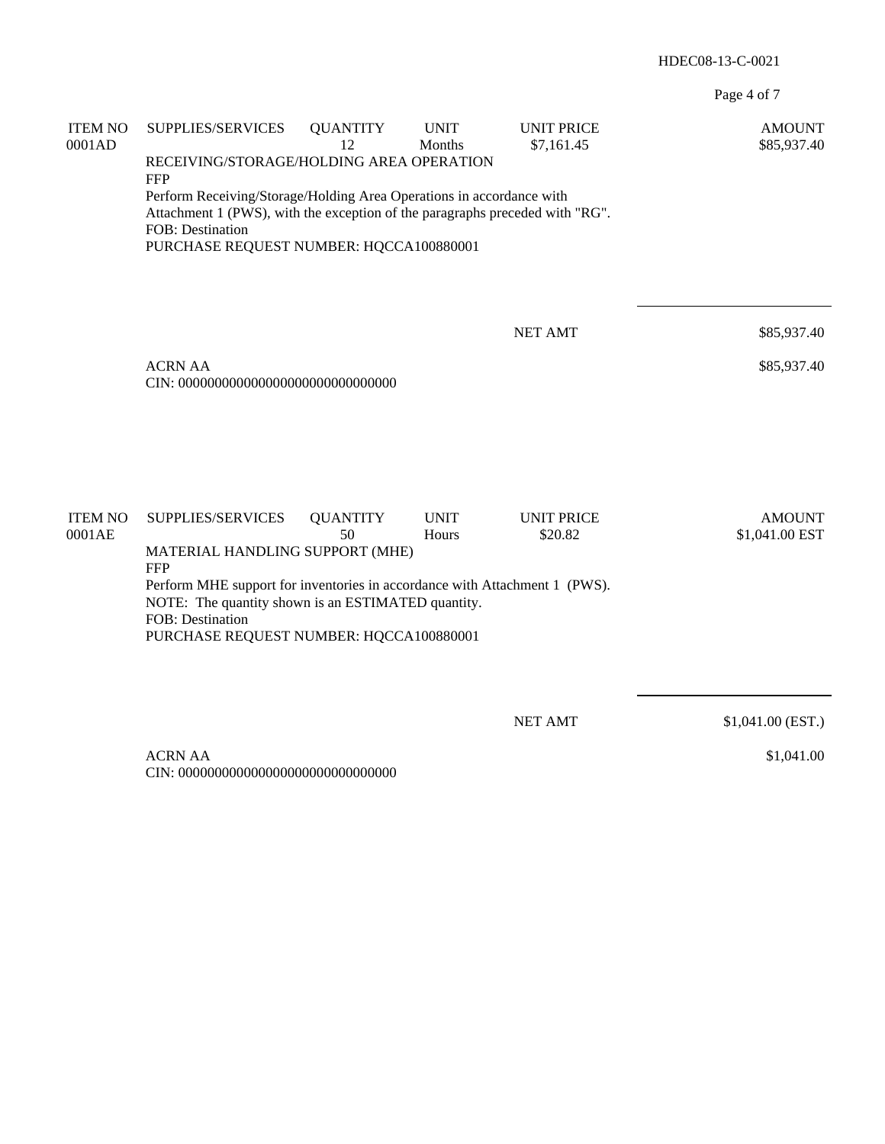Page 4 of 7

| <b>ITEM NO</b><br>0001AD | SUPPLIES/SERVICES                                                                                                                                                                                                   | <b>QUANTITY</b><br>12                    | <b>UNIT</b><br>Months | <b>UNIT PRICE</b><br>\$7,161.45 | <b>AMOUNT</b><br>\$85,937.40    |  |  |  |  |
|--------------------------|---------------------------------------------------------------------------------------------------------------------------------------------------------------------------------------------------------------------|------------------------------------------|-----------------------|---------------------------------|---------------------------------|--|--|--|--|
|                          | <b>FFP</b>                                                                                                                                                                                                          | RECEIVING/STORAGE/HOLDING AREA OPERATION |                       |                                 |                                 |  |  |  |  |
|                          | Perform Receiving/Storage/Holding Area Operations in accordance with<br>Attachment 1 (PWS), with the exception of the paragraphs preceded with "RG".<br>FOB: Destination<br>PURCHASE REQUEST NUMBER: HQCCA100880001 |                                          |                       |                                 |                                 |  |  |  |  |
|                          |                                                                                                                                                                                                                     |                                          |                       |                                 |                                 |  |  |  |  |
|                          |                                                                                                                                                                                                                     |                                          |                       |                                 |                                 |  |  |  |  |
|                          |                                                                                                                                                                                                                     |                                          |                       | <b>NET AMT</b>                  | \$85,937.40                     |  |  |  |  |
|                          | <b>ACRN AA</b><br>\$85,937.40                                                                                                                                                                                       |                                          |                       |                                 |                                 |  |  |  |  |
|                          |                                                                                                                                                                                                                     |                                          |                       |                                 |                                 |  |  |  |  |
|                          |                                                                                                                                                                                                                     |                                          |                       |                                 |                                 |  |  |  |  |
|                          |                                                                                                                                                                                                                     |                                          |                       |                                 |                                 |  |  |  |  |
| <b>ITEM NO</b><br>0001AE | SUPPLIES/SERVICES                                                                                                                                                                                                   | <b>QUANTITY</b><br>50                    | <b>UNIT</b><br>Hours  | <b>UNIT PRICE</b><br>\$20.82    | <b>AMOUNT</b><br>\$1,041.00 EST |  |  |  |  |
|                          | MATERIAL HANDLING SUPPORT (MHE)<br><b>FFP</b>                                                                                                                                                                       |                                          |                       |                                 |                                 |  |  |  |  |
|                          | Perform MHE support for inventories in accordance with Attachment 1 (PWS).<br>NOTE: The quantity shown is an ESTIMATED quantity.                                                                                    |                                          |                       |                                 |                                 |  |  |  |  |
|                          | FOB: Destination<br>PURCHASE REQUEST NUMBER: HQCCA100880001                                                                                                                                                         |                                          |                       |                                 |                                 |  |  |  |  |
|                          |                                                                                                                                                                                                                     |                                          |                       |                                 |                                 |  |  |  |  |
|                          |                                                                                                                                                                                                                     |                                          |                       | <b>NET AMT</b>                  | $$1,041.00$ (EST.)              |  |  |  |  |
|                          | <b>ACRN AA</b>                                                                                                                                                                                                      |                                          |                       |                                 | \$1,041.00                      |  |  |  |  |
|                          |                                                                                                                                                                                                                     |                                          |                       |                                 |                                 |  |  |  |  |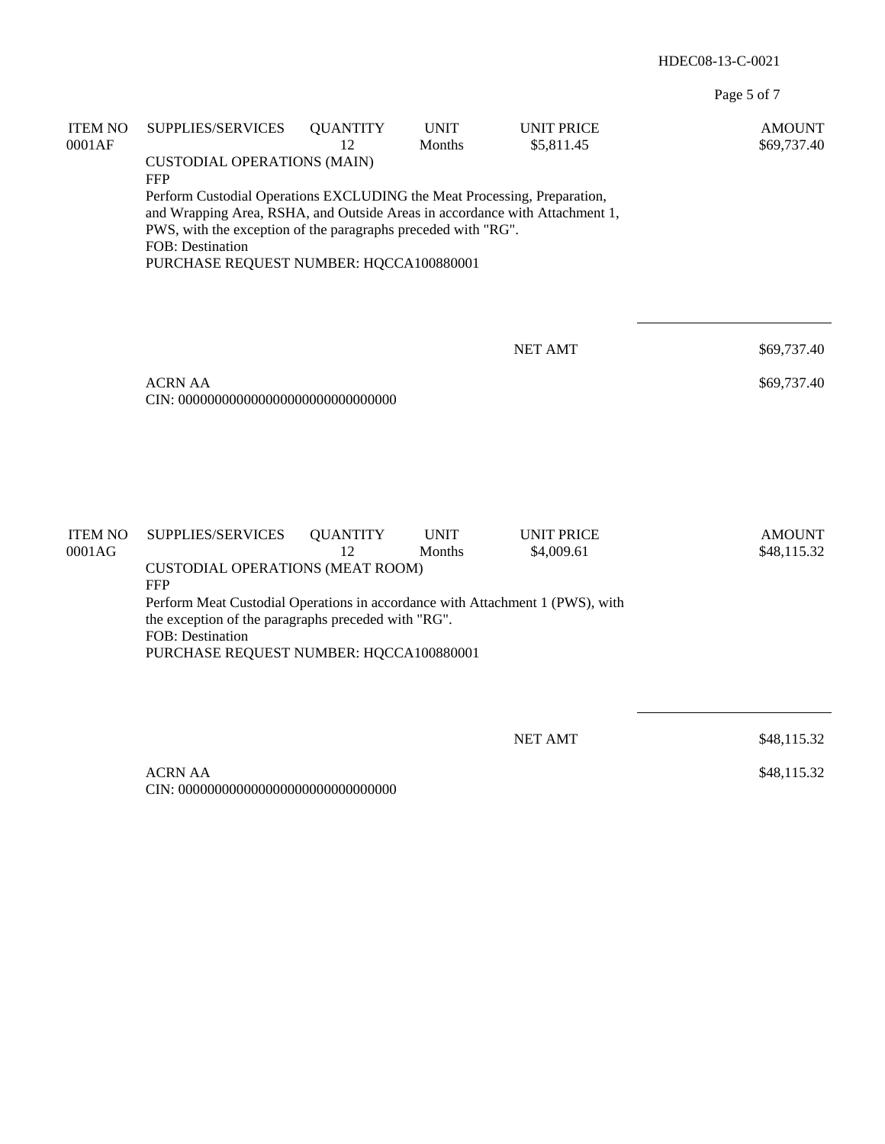Page 5 of 7

| <b>ITEM NO</b><br>0001AF | SUPPLIES/SERVICES                                                                                                                                                                                                                                                                       | <b>QUANTITY</b><br>12 | <b>UNIT</b><br>Months | <b>UNIT PRICE</b><br>\$5,811.45 | <b>AMOUNT</b><br>\$69,737.40 |  |  |
|--------------------------|-----------------------------------------------------------------------------------------------------------------------------------------------------------------------------------------------------------------------------------------------------------------------------------------|-----------------------|-----------------------|---------------------------------|------------------------------|--|--|
|                          | <b>CUSTODIAL OPERATIONS (MAIN)</b><br><b>FFP</b>                                                                                                                                                                                                                                        |                       |                       |                                 |                              |  |  |
|                          | Perform Custodial Operations EXCLUDING the Meat Processing, Preparation,<br>and Wrapping Area, RSHA, and Outside Areas in accordance with Attachment 1,<br>PWS, with the exception of the paragraphs preceded with "RG".<br>FOB: Destination<br>PURCHASE REQUEST NUMBER: HQCCA100880001 |                       |                       |                                 |                              |  |  |
|                          |                                                                                                                                                                                                                                                                                         |                       |                       | <b>NET AMT</b>                  | \$69,737.40                  |  |  |
|                          | <b>ACRN AA</b><br>\$69,737.40                                                                                                                                                                                                                                                           |                       |                       |                                 |                              |  |  |
|                          |                                                                                                                                                                                                                                                                                         |                       |                       |                                 |                              |  |  |
| <b>ITEM NO</b><br>0001AG | SUPPLIES/SERVICES                                                                                                                                                                                                                                                                       | <b>QUANTITY</b><br>12 | <b>UNIT</b><br>Months | <b>UNIT PRICE</b><br>\$4,009.61 | <b>AMOUNT</b><br>\$48,115.32 |  |  |
|                          | <b>CUSTODIAL OPERATIONS (MEAT ROOM)</b><br><b>FFP</b>                                                                                                                                                                                                                                   |                       |                       |                                 |                              |  |  |
|                          | Perform Meat Custodial Operations in accordance with Attachment 1 (PWS), with<br>the exception of the paragraphs preceded with "RG".<br>FOB: Destination<br>PURCHASE REQUEST NUMBER: HQCCA100880001                                                                                     |                       |                       |                                 |                              |  |  |
|                          |                                                                                                                                                                                                                                                                                         |                       |                       |                                 |                              |  |  |
|                          |                                                                                                                                                                                                                                                                                         |                       |                       | <b>NET AMT</b>                  | \$48,115.32                  |  |  |
|                          | <b>ACRN AA</b>                                                                                                                                                                                                                                                                          |                       |                       |                                 | \$48,115.32                  |  |  |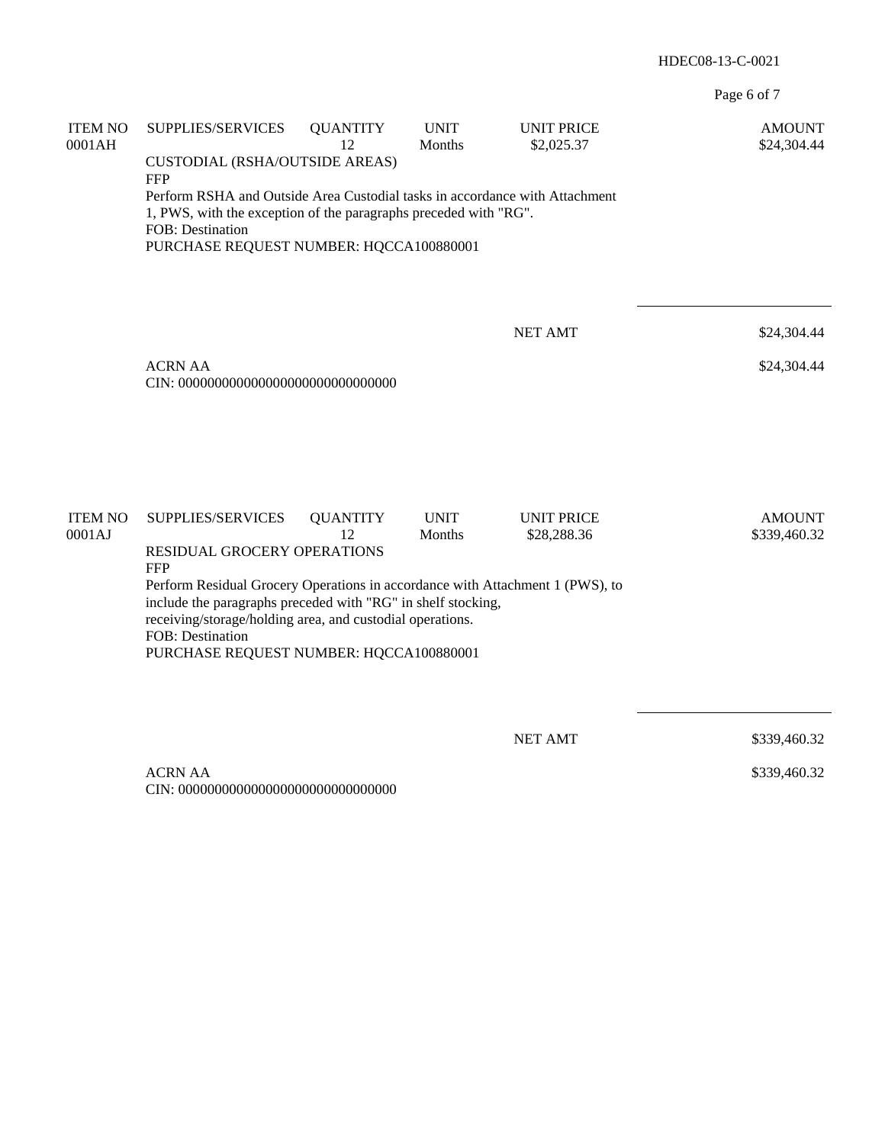Page 6 of 7

| <b>ITEM NO</b><br>0001AH | SUPPLIES/SERVICES<br><b>CUSTODIAL (RSHA/OUTSIDE AREAS)</b>                                                                                                                                                                                                                | <b>QUANTITY</b><br>12 | <b>UNIT</b><br>Months | <b>UNIT PRICE</b><br>\$2,025.37  | <b>AMOUNT</b><br>\$24,304.44  |  |  |
|--------------------------|---------------------------------------------------------------------------------------------------------------------------------------------------------------------------------------------------------------------------------------------------------------------------|-----------------------|-----------------------|----------------------------------|-------------------------------|--|--|
|                          | <b>FFP</b><br>Perform RSHA and Outside Area Custodial tasks in accordance with Attachment<br>1, PWS, with the exception of the paragraphs preceded with "RG".<br>FOB: Destination<br>PURCHASE REQUEST NUMBER: HQCCA100880001                                              |                       |                       |                                  |                               |  |  |
|                          |                                                                                                                                                                                                                                                                           |                       |                       | <b>NET AMT</b>                   | \$24,304.44                   |  |  |
|                          | <b>ACRN AA</b><br>\$24,304.44                                                                                                                                                                                                                                             |                       |                       |                                  |                               |  |  |
|                          |                                                                                                                                                                                                                                                                           |                       |                       |                                  |                               |  |  |
| <b>ITEM NO</b><br>0001AJ | SUPPLIES/SERVICES<br>RESIDUAL GROCERY OPERATIONS<br><b>FFP</b>                                                                                                                                                                                                            | <b>QUANTITY</b><br>12 | <b>UNIT</b><br>Months | <b>UNIT PRICE</b><br>\$28,288.36 | <b>AMOUNT</b><br>\$339,460.32 |  |  |
|                          | Perform Residual Grocery Operations in accordance with Attachment 1 (PWS), to<br>include the paragraphs preceded with "RG" in shelf stocking,<br>receiving/storage/holding area, and custodial operations.<br>FOB: Destination<br>PURCHASE REQUEST NUMBER: HQCCA100880001 |                       |                       |                                  |                               |  |  |
|                          |                                                                                                                                                                                                                                                                           |                       |                       |                                  |                               |  |  |
|                          |                                                                                                                                                                                                                                                                           |                       |                       | <b>NET AMT</b>                   | \$339,460.32                  |  |  |
|                          | <b>ACRN AA</b>                                                                                                                                                                                                                                                            |                       |                       |                                  | \$339,460.32                  |  |  |